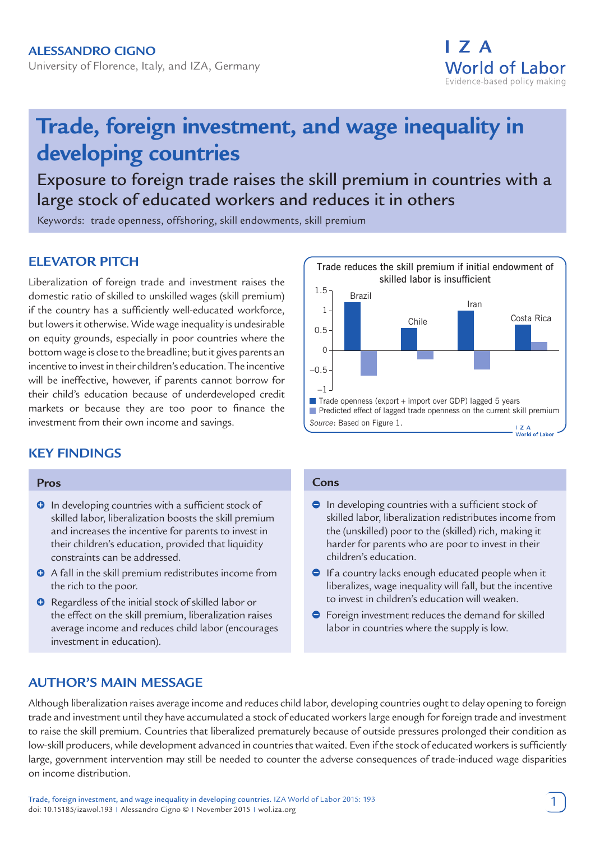## **Alessandro Cigno**

University of Florence, Italy, and IZA, Germany



# **Trade, foreign investment, and wage inequality in developing countries**

Exposure to foreign trade raises the skill premium in countries with a large stock of educated workers and reduces it in others

Keywords: trade openness, offshoring, skill endowments, skill premium

# **ELEVATOR PITCH**

Liberalization of foreign trade and investment raises the domestic ratio of skilled to unskilled wages (skill premium) if the country has a sufficiently well-educated workforce, but lowers it otherwise. Wide wage inequality is undesirable on equity grounds, especially in poor countries where the bottom wage is close to the breadline; but it gives parents an incentive to invest in their children's education. The incentive will be ineffective, however, if parents cannot borrow for their child's education because of underdeveloped credit markets or because they are too poor to finance the investment from their own income and savings.

# **KEY FINDINGS**

#### **Pros**

- **O** In developing countries with a sufficient stock of skilled labor, liberalization boosts the skill premium and increases the incentive for parents to invest in their children's education, provided that liquidity constraints can be addressed.
- A fall in the skill premium redistributes income from the rich to the poor.
- **O** Regardless of the initial stock of skilled labor or the effect on the skill premium, liberalization raises average income and reduces child labor (encourages investment in education).

## **AUTHOR'S MAIN MESSAGE**



#### **Cons**

- $\bullet$  In developing countries with a sufficient stock of skilled labor, liberalization redistributes income from the (unskilled) poor to the (skilled) rich, making it harder for parents who are poor to invest in their children's education.
- **If a country lacks enough educated people when it** liberalizes, wage inequality will fall, but the incentive to invest in children's education will weaken.
- **•** Foreign investment reduces the demand for skilled labor in countries where the supply is low.

Although liberalization raises average income and reduces child labor, developing countries ought to delay opening to foreign trade and investment until they have accumulated a stock of educated workers large enough for foreign trade and investment to raise the skill premium. Countries that liberalized prematurely because of outside pressures prolonged their condition as low-skill producers, while development advanced in countries that waited. Even if the stock of educated workers is sufficiently large, government intervention may still be needed to counter the adverse consequences of trade-induced wage disparities on income distribution.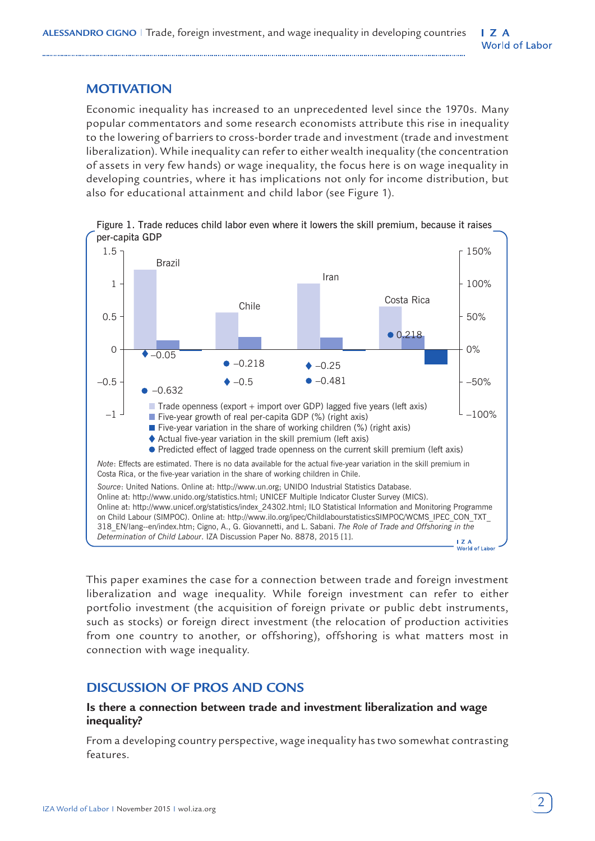## **MOTIVATION**

Economic inequality has increased to an unprecedented level since the 1970s. Many popular commentators and some research economists attribute this rise in inequality to the lowering of barriers to cross-border trade and investment (trade and investment liberalization). While inequality can refer to either wealth inequality (the concentration of assets in very few hands) or wage inequality, the focus here is on wage inequality in developing countries, where it has implications not only for income distribution, but also for educational attainment and child labor (see Figure 1).



Figure 1. Trade reduces child labor even where it lowers the skill premium, because it raises per-capita GDP

This paper examines the case for a connection between trade and foreign investment liberalization and wage inequality. While foreign investment can refer to either portfolio investment (the acquisition of foreign private or public debt instruments, such as stocks) or foreign direct investment (the relocation of production activities from one country to another, or offshoring), offshoring is what matters most in connection with wage inequality.

## **DISCUSSION OF PROS AND CONS**

## **Is there a connection between trade and investment liberalization and wage inequality?**

From a developing country perspective, wage inequality has two somewhat contrasting features.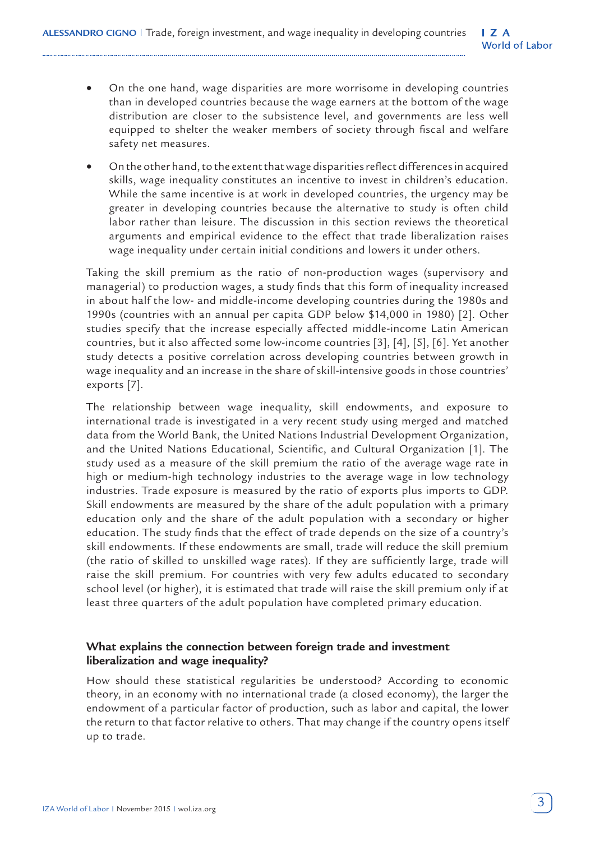- On the one hand, wage disparities are more worrisome in developing countries than in developed countries because the wage earners at the bottom of the wage distribution are closer to the subsistence level, and governments are less well equipped to shelter the weaker members of society through fiscal and welfare safety net measures.
- On the other hand, to the extent that wage disparities reflect differences in acquired skills, wage inequality constitutes an incentive to invest in children's education. While the same incentive is at work in developed countries, the urgency may be greater in developing countries because the alternative to study is often child labor rather than leisure. The discussion in this section reviews the theoretical arguments and empirical evidence to the effect that trade liberalization raises wage inequality under certain initial conditions and lowers it under others.

Taking the skill premium as the ratio of non-production wages (supervisory and managerial) to production wages, a study finds that this form of inequality increased in about half the low- and middle-income developing countries during the 1980s and 1990s (countries with an annual per capita GDP below \$14,000 in 1980) [2]. Other studies specify that the increase especially affected middle-income Latin American countries, but it also affected some low-income countries [3], [4], [5], [6]. Yet another study detects a positive correlation across developing countries between growth in wage inequality and an increase in the share of skill-intensive goods in those countries' exports [7].

The relationship between wage inequality, skill endowments, and exposure to international trade is investigated in a very recent study using merged and matched data from the World Bank, the United Nations Industrial Development Organization, and the United Nations Educational, Scientific, and Cultural Organization [1]. The study used as a measure of the skill premium the ratio of the average wage rate in high or medium-high technology industries to the average wage in low technology industries. Trade exposure is measured by the ratio of exports plus imports to GDP. Skill endowments are measured by the share of the adult population with a primary education only and the share of the adult population with a secondary or higher education. The study finds that the effect of trade depends on the size of a country's skill endowments. If these endowments are small, trade will reduce the skill premium (the ratio of skilled to unskilled wage rates). If they are sufficiently large, trade will raise the skill premium. For countries with very few adults educated to secondary school level (or higher), it is estimated that trade will raise the skill premium only if at least three quarters of the adult population have completed primary education.

## **What explains the connection between foreign trade and investment liberalization and wage inequality?**

How should these statistical regularities be understood? According to economic theory, in an economy with no international trade (a closed economy), the larger the endowment of a particular factor of production, such as labor and capital, the lower the return to that factor relative to others. That may change if the country opens itself up to trade.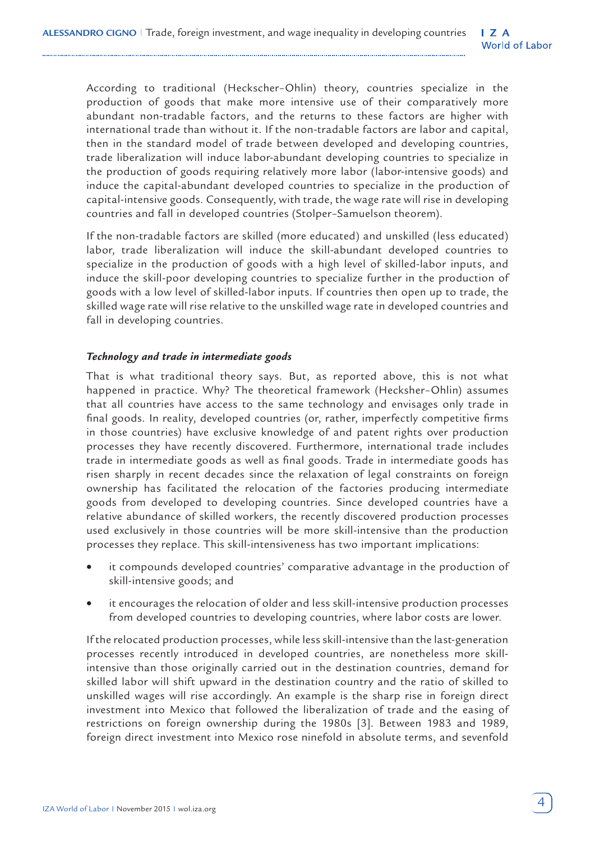According to traditional (Heckscher–Ohlin) theory, countries specialize in the production of goods that make more intensive use of their comparatively more abundant non-tradable factors, and the returns to these factors are higher with international trade than without it. If the non-tradable factors are labor and capital, then in the standard model of trade between developed and developing countries, trade liberalization will induce labor-abundant developing countries to specialize in the production of goods requiring relatively more labor (labor-intensive goods) and induce the capital-abundant developed countries to specialize in the production of capital-intensive goods. Consequently, with trade, the wage rate will rise in developing countries and fall in developed countries (Stolper–Samuelson theorem).

If the non-tradable factors are skilled (more educated) and unskilled (less educated) labor, trade liberalization will induce the skill-abundant developed countries to specialize in the production of goods with a high level of skilled-labor inputs, and induce the skill-poor developing countries to specialize further in the production of goods with a low level of skilled-labor inputs. If countries then open up to trade, the skilled wage rate will rise relative to the unskilled wage rate in developed countries and fall in developing countries.

#### *Technology and trade in intermediate goods*

That is what traditional theory says. But, as reported above, this is not what happened in practice. Why? The theoretical framework (Hecksher–Ohlin) assumes that all countries have access to the same technology and envisages only trade in final goods. In reality, developed countries (or, rather, imperfectly competitive firms in those countries) have exclusive knowledge of and patent rights over production processes they have recently discovered. Furthermore, international trade includes trade in intermediate goods as well as final goods. Trade in intermediate goods has risen sharply in recent decades since the relaxation of legal constraints on foreign ownership has facilitated the relocation of the factories producing intermediate goods from developed to developing countries. Since developed countries have a relative abundance of skilled workers, the recently discovered production processes used exclusively in those countries will be more skill-intensive than the production processes they replace. This skill-intensiveness has two important implications:

- it compounds developed countries' comparative advantage in the production of skill-intensive goods; and
- it encourages the relocation of older and less skill-intensive production processes from developed countries to developing countries, where labor costs are lower.

If the relocated production processes, while less skill-intensive than the last-generation processes recently introduced in developed countries, are nonetheless more skillintensive than those originally carried out in the destination countries, demand for skilled labor will shift upward in the destination country and the ratio of skilled to unskilled wages will rise accordingly. An example is the sharp rise in foreign direct investment into Mexico that followed the liberalization of trade and the easing of restrictions on foreign ownership during the 1980s [3]. Between 1983 and 1989, foreign direct investment into Mexico rose ninefold in absolute terms, and sevenfold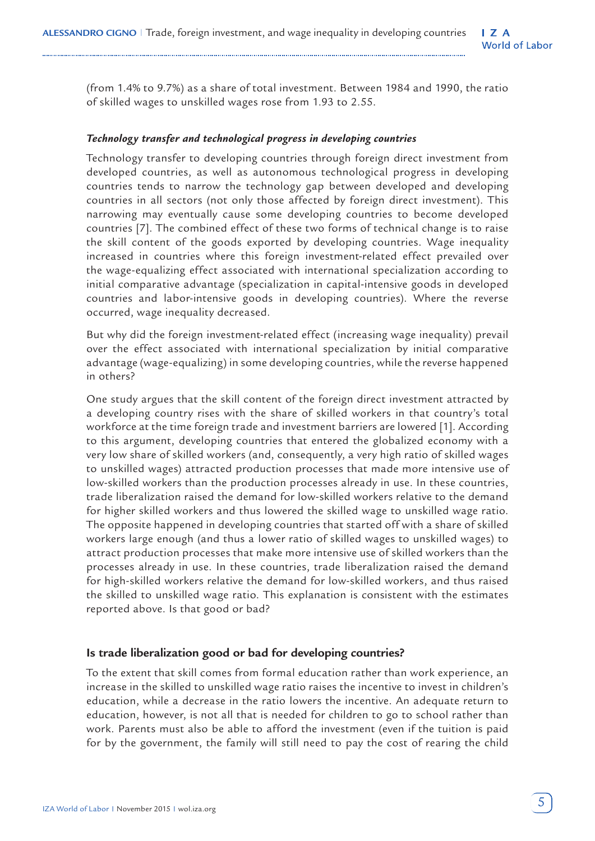(from 1.4% to 9.7%) as a share of total investment. Between 1984 and 1990, the ratio of skilled wages to unskilled wages rose from 1.93 to 2.55.

#### *Technology transfer and technological progress in developing countries*

Technology transfer to developing countries through foreign direct investment from developed countries, as well as autonomous technological progress in developing countries tends to narrow the technology gap between developed and developing countries in all sectors (not only those affected by foreign direct investment). This narrowing may eventually cause some developing countries to become developed countries [7]. The combined effect of these two forms of technical change is to raise the skill content of the goods exported by developing countries. Wage inequality increased in countries where this foreign investment-related effect prevailed over the wage-equalizing effect associated with international specialization according to initial comparative advantage (specialization in capital-intensive goods in developed countries and labor-intensive goods in developing countries). Where the reverse occurred, wage inequality decreased.

But why did the foreign investment-related effect (increasing wage inequality) prevail over the effect associated with international specialization by initial comparative advantage (wage-equalizing) in some developing countries, while the reverse happened in others?

One study argues that the skill content of the foreign direct investment attracted by a developing country rises with the share of skilled workers in that country's total workforce at the time foreign trade and investment barriers are lowered [1]. According to this argument, developing countries that entered the globalized economy with a very low share of skilled workers (and, consequently, a very high ratio of skilled wages to unskilled wages) attracted production processes that made more intensive use of low-skilled workers than the production processes already in use. In these countries, trade liberalization raised the demand for low-skilled workers relative to the demand for higher skilled workers and thus lowered the skilled wage to unskilled wage ratio. The opposite happened in developing countries that started off with a share of skilled workers large enough (and thus a lower ratio of skilled wages to unskilled wages) to attract production processes that make more intensive use of skilled workers than the processes already in use. In these countries, trade liberalization raised the demand for high-skilled workers relative the demand for low-skilled workers, and thus raised the skilled to unskilled wage ratio. This explanation is consistent with the estimates reported above. Is that good or bad?

#### **Is trade liberalization good or bad for developing countries?**

To the extent that skill comes from formal education rather than work experience, an increase in the skilled to unskilled wage ratio raises the incentive to invest in children's education, while a decrease in the ratio lowers the incentive. An adequate return to education, however, is not all that is needed for children to go to school rather than work. Parents must also be able to afford the investment (even if the tuition is paid for by the government, the family will still need to pay the cost of rearing the child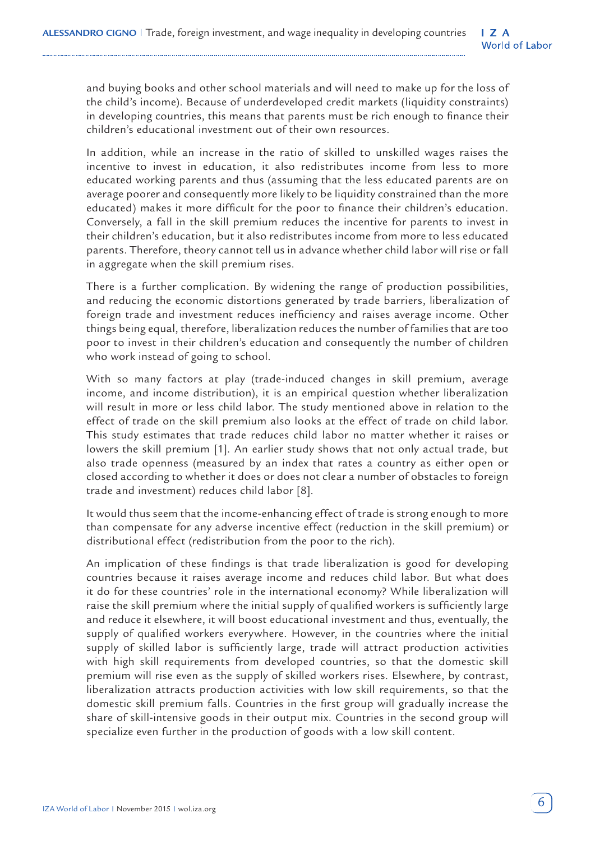and buying books and other school materials and will need to make up for the loss of the child's income). Because of underdeveloped credit markets (liquidity constraints) in developing countries, this means that parents must be rich enough to finance their children's educational investment out of their own resources.

In addition, while an increase in the ratio of skilled to unskilled wages raises the incentive to invest in education, it also redistributes income from less to more educated working parents and thus (assuming that the less educated parents are on average poorer and consequently more likely to be liquidity constrained than the more educated) makes it more difficult for the poor to finance their children's education. Conversely, a fall in the skill premium reduces the incentive for parents to invest in their children's education, but it also redistributes income from more to less educated parents. Therefore, theory cannot tell us in advance whether child labor will rise or fall in aggregate when the skill premium rises.

There is a further complication. By widening the range of production possibilities, and reducing the economic distortions generated by trade barriers, liberalization of foreign trade and investment reduces inefficiency and raises average income. Other things being equal, therefore, liberalization reduces the number of families that are too poor to invest in their children's education and consequently the number of children who work instead of going to school.

With so many factors at play (trade-induced changes in skill premium, average income, and income distribution), it is an empirical question whether liberalization will result in more or less child labor. The study mentioned above in relation to the effect of trade on the skill premium also looks at the effect of trade on child labor. This study estimates that trade reduces child labor no matter whether it raises or lowers the skill premium [1]. An earlier study shows that not only actual trade, but also trade openness (measured by an index that rates a country as either open or closed according to whether it does or does not clear a number of obstacles to foreign trade and investment) reduces child labor [8].

It would thus seem that the income-enhancing effect of trade is strong enough to more than compensate for any adverse incentive effect (reduction in the skill premium) or distributional effect (redistribution from the poor to the rich).

An implication of these findings is that trade liberalization is good for developing countries because it raises average income and reduces child labor. But what does it do for these countries' role in the international economy? While liberalization will raise the skill premium where the initial supply of qualified workers is sufficiently large and reduce it elsewhere, it will boost educational investment and thus, eventually, the supply of qualified workers everywhere. However, in the countries where the initial supply of skilled labor is sufficiently large, trade will attract production activities with high skill requirements from developed countries, so that the domestic skill premium will rise even as the supply of skilled workers rises. Elsewhere, by contrast, liberalization attracts production activities with low skill requirements, so that the domestic skill premium falls. Countries in the first group will gradually increase the share of skill-intensive goods in their output mix. Countries in the second group will specialize even further in the production of goods with a low skill content.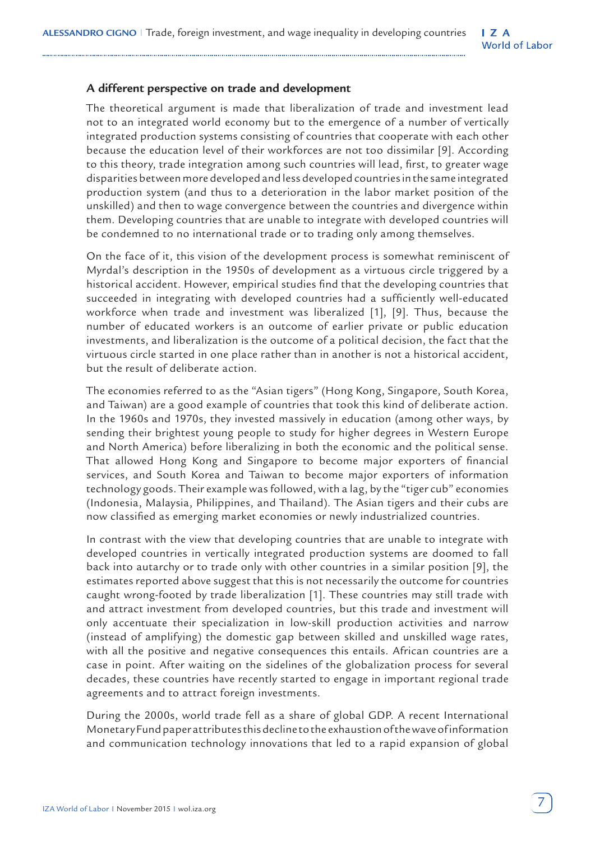#### $\mathsf{I}$  Z A **World of Labor**

## **A different perspective on trade and development**

The theoretical argument is made that liberalization of trade and investment lead not to an integrated world economy but to the emergence of a number of vertically integrated production systems consisting of countries that cooperate with each other because the education level of their workforces are not too dissimilar [9]. According to this theory, trade integration among such countries will lead, first, to greater wage disparities between more developed and less developed countries in the same integrated production system (and thus to a deterioration in the labor market position of the unskilled) and then to wage convergence between the countries and divergence within them. Developing countries that are unable to integrate with developed countries will be condemned to no international trade or to trading only among themselves.

On the face of it, this vision of the development process is somewhat reminiscent of Myrdal's description in the 1950s of development as a virtuous circle triggered by a historical accident. However, empirical studies find that the developing countries that succeeded in integrating with developed countries had a sufficiently well-educated workforce when trade and investment was liberalized [1], [9]. Thus, because the number of educated workers is an outcome of earlier private or public education investments, and liberalization is the outcome of a political decision, the fact that the virtuous circle started in one place rather than in another is not a historical accident, but the result of deliberate action.

The economies referred to as the "Asian tigers" (Hong Kong, Singapore, South Korea, and Taiwan) are a good example of countries that took this kind of deliberate action. In the 1960s and 1970s, they invested massively in education (among other ways, by sending their brightest young people to study for higher degrees in Western Europe and North America) before liberalizing in both the economic and the political sense. That allowed Hong Kong and Singapore to become major exporters of financial services, and South Korea and Taiwan to become major exporters of information technology goods. Their example was followed, with a lag, by the "tiger cub" economies (Indonesia, Malaysia, Philippines, and Thailand). The Asian tigers and their cubs are now classified as emerging market economies or newly industrialized countries.

In contrast with the view that developing countries that are unable to integrate with developed countries in vertically integrated production systems are doomed to fall back into autarchy or to trade only with other countries in a similar position [9], the estimates reported above suggest that this is not necessarily the outcome for countries caught wrong-footed by trade liberalization [1]. These countries may still trade with and attract investment from developed countries, but this trade and investment will only accentuate their specialization in low-skill production activities and narrow (instead of amplifying) the domestic gap between skilled and unskilled wage rates, with all the positive and negative consequences this entails. African countries are a case in point. After waiting on the sidelines of the globalization process for several decades, these countries have recently started to engage in important regional trade agreements and to attract foreign investments.

During the 2000s, world trade fell as a share of global GDP. A recent International Monetary Fund paper attributes this decline to the exhaustion of the wave of information and communication technology innovations that led to a rapid expansion of global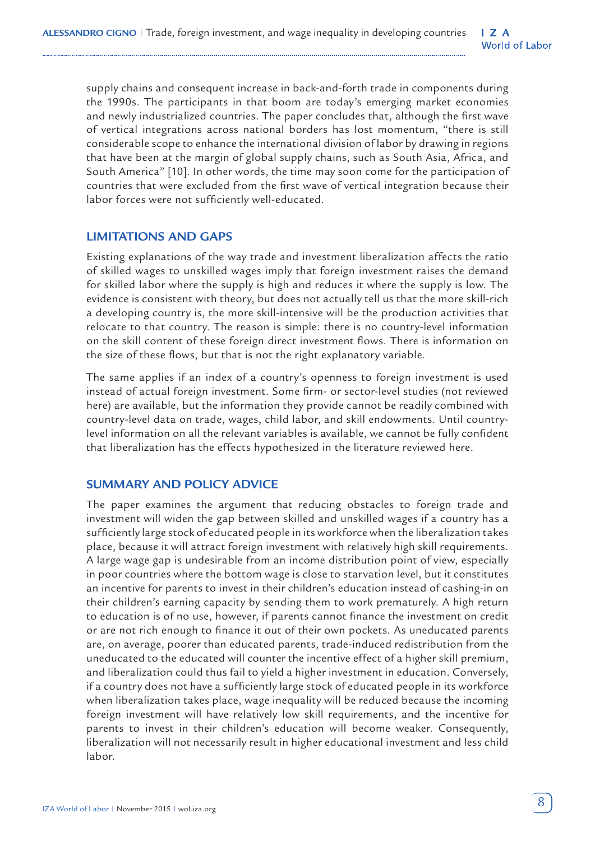supply chains and consequent increase in back-and-forth trade in components during the 1990s. The participants in that boom are today's emerging market economies and newly industrialized countries. The paper concludes that, although the first wave of vertical integrations across national borders has lost momentum, "there is still considerable scope to enhance the international division of labor by drawing in regions that have been at the margin of global supply chains, such as South Asia, Africa, and South America" [10]. In other words, the time may soon come for the participation of countries that were excluded from the first wave of vertical integration because their labor forces were not sufficiently well-educated.

#### **LIMITATIONS AND GAPS**

Existing explanations of the way trade and investment liberalization affects the ratio of skilled wages to unskilled wages imply that foreign investment raises the demand for skilled labor where the supply is high and reduces it where the supply is low. The evidence is consistent with theory, but does not actually tell us that the more skill-rich a developing country is, the more skill-intensive will be the production activities that relocate to that country. The reason is simple: there is no country-level information on the skill content of these foreign direct investment flows. There is information on the size of these flows, but that is not the right explanatory variable.

The same applies if an index of a country's openness to foreign investment is used instead of actual foreign investment. Some firm- or sector-level studies (not reviewed here) are available, but the information they provide cannot be readily combined with country-level data on trade, wages, child labor, and skill endowments. Until countrylevel information on all the relevant variables is available, we cannot be fully confident that liberalization has the effects hypothesized in the literature reviewed here.

## **SUMMARY AND POLICY ADVICE**

The paper examines the argument that reducing obstacles to foreign trade and investment will widen the gap between skilled and unskilled wages if a country has a sufficiently large stock of educated people in its workforce when the liberalization takes place, because it will attract foreign investment with relatively high skill requirements. A large wage gap is undesirable from an income distribution point of view, especially in poor countries where the bottom wage is close to starvation level, but it constitutes an incentive for parents to invest in their children's education instead of cashing-in on their children's earning capacity by sending them to work prematurely. A high return to education is of no use, however, if parents cannot finance the investment on credit or are not rich enough to finance it out of their own pockets. As uneducated parents are, on average, poorer than educated parents, trade-induced redistribution from the uneducated to the educated will counter the incentive effect of a higher skill premium, and liberalization could thus fail to yield a higher investment in education. Conversely, if a country does not have a sufficiently large stock of educated people in its workforce when liberalization takes place, wage inequality will be reduced because the incoming foreign investment will have relatively low skill requirements, and the incentive for parents to invest in their children's education will become weaker. Consequently, liberalization will not necessarily result in higher educational investment and less child labor.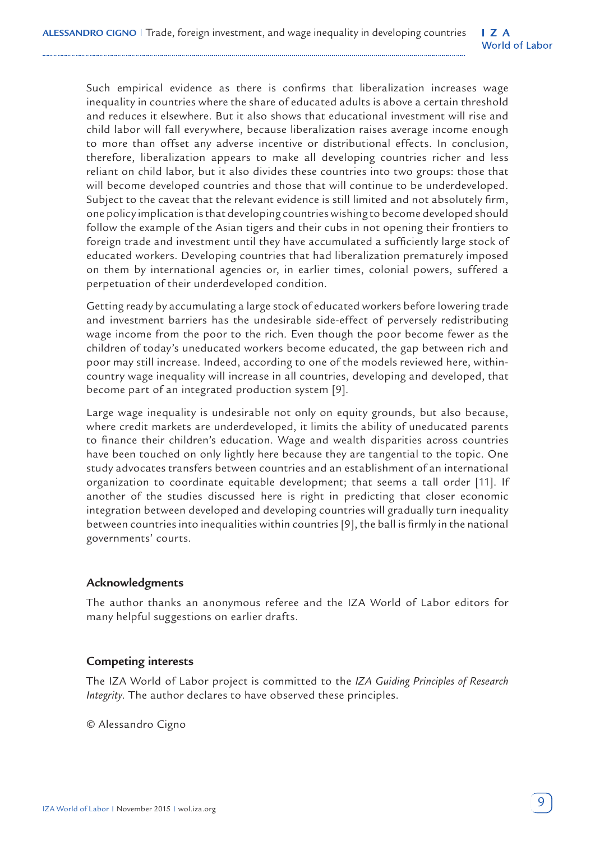Such empirical evidence as there is confirms that liberalization increases wage inequality in countries where the share of educated adults is above a certain threshold and reduces it elsewhere. But it also shows that educational investment will rise and child labor will fall everywhere, because liberalization raises average income enough to more than offset any adverse incentive or distributional effects. In conclusion, therefore, liberalization appears to make all developing countries richer and less reliant on child labor, but it also divides these countries into two groups: those that will become developed countries and those that will continue to be underdeveloped. Subject to the caveat that the relevant evidence is still limited and not absolutely firm, one policy implication is that developing countries wishing to become developed should follow the example of the Asian tigers and their cubs in not opening their frontiers to foreign trade and investment until they have accumulated a sufficiently large stock of educated workers. Developing countries that had liberalization prematurely imposed on them by international agencies or, in earlier times, colonial powers, suffered a perpetuation of their underdeveloped condition.

Getting ready by accumulating a large stock of educated workers before lowering trade and investment barriers has the undesirable side-effect of perversely redistributing wage income from the poor to the rich. Even though the poor become fewer as the children of today's uneducated workers become educated, the gap between rich and poor may still increase. Indeed, according to one of the models reviewed here, withincountry wage inequality will increase in all countries, developing and developed, that become part of an integrated production system [9].

Large wage inequality is undesirable not only on equity grounds, but also because, where credit markets are underdeveloped, it limits the ability of uneducated parents to finance their children's education. Wage and wealth disparities across countries have been touched on only lightly here because they are tangential to the topic. One study advocates transfers between countries and an establishment of an international organization to coordinate equitable development; that seems a tall order [11]. If another of the studies discussed here is right in predicting that closer economic integration between developed and developing countries will gradually turn inequality between countries into inequalities within countries [9], the ball is firmly in the national governments' courts.

#### **Acknowledgments**

The author thanks an anonymous referee and the IZA World of Labor editors for many helpful suggestions on earlier drafts.

#### **Competing interests**

The IZA World of Labor project is committed to the *IZA Guiding Principles of Research Integrity*. The author declares to have observed these principles.

© Alessandro Cigno